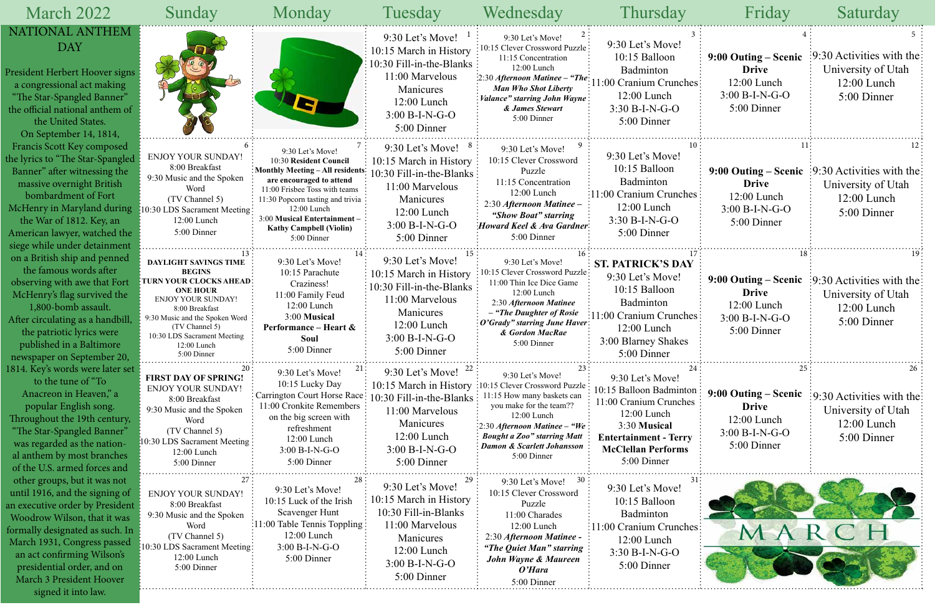|                   | Friday                                                                                         | Saturday                                                                            |
|-------------------|------------------------------------------------------------------------------------------------|-------------------------------------------------------------------------------------|
| 3                 | $\overline{4}$                                                                                 | 5                                                                                   |
| <b>nes</b>        | 9:00 Outing – Scenic<br><b>Drive</b><br>$12:00$ Lunch<br>3:00 B-I-N-G-O<br>5:00 Dinner         | 9:30 Activities with the<br>University of Utah<br>12:00 Lunch<br>5:00 Dinner        |
| 10                | 11                                                                                             | 12                                                                                  |
| ies               | 9:00 Outing – Scenic<br><b>Drive</b><br>12:00 Lunch<br>$3:00 B-I-N-G-O$<br>5:00 Dinner         | $\div 9.30$ Activities with the<br>University of Utah<br>12:00 Lunch<br>5:00 Dinner |
| 17<br>$\mathbf V$ | 18                                                                                             | 19                                                                                  |
| ies               | 9:00 Outing – Scenic<br><b>Drive</b><br>12:00 Lunch<br>$3:00 B-I-N-G-O$<br>5:00 Dinner         | 9:30 Activities with the<br>University of Utah<br>12:00 Lunch<br>5:00 Dinner        |
| 24<br>юn<br>es    | 25<br>9:00 Outing – Scenic<br><b>Drive</b><br>$12:00$ Lunch<br>$3:00 B-I-N-G-O$<br>5:00 Dinner | 26<br>9:30 Activities with the<br>University of Utah<br>12:00 Lunch<br>5:00 Dinner  |
| 31<br>ess         |                                                                                                | RCH                                                                                 |
|                   |                                                                                                |                                                                                     |

| March 2022                                                                                                                                                                                                                                                                                                               | Sunday                                                                                                                                                                                                                                                     | Monday                                                                                                                                                                                                                                                                          | Tuesday                                                                                                                                                          | Wednesday                                                                                                                                                                                                                                                                        | Thursday                                                                                                                                                                                 | Friday                                                                                   | Saturday                                                                                    |
|--------------------------------------------------------------------------------------------------------------------------------------------------------------------------------------------------------------------------------------------------------------------------------------------------------------------------|------------------------------------------------------------------------------------------------------------------------------------------------------------------------------------------------------------------------------------------------------------|---------------------------------------------------------------------------------------------------------------------------------------------------------------------------------------------------------------------------------------------------------------------------------|------------------------------------------------------------------------------------------------------------------------------------------------------------------|----------------------------------------------------------------------------------------------------------------------------------------------------------------------------------------------------------------------------------------------------------------------------------|------------------------------------------------------------------------------------------------------------------------------------------------------------------------------------------|------------------------------------------------------------------------------------------|---------------------------------------------------------------------------------------------|
| NATIONAL ANTHEM<br><b>DAY</b><br>President Herbert Hoover signs<br>a congressional act making<br>"The Star-Spangled Banner"<br>the official national anthem of<br>the United States.<br>On September 14, 1814,                                                                                                           |                                                                                                                                                                                                                                                            |                                                                                                                                                                                                                                                                                 | 9:30 Let's Move!<br>10:15 March in History<br>10:30 Fill-in-the-Blanks:<br>11:00 Marvelous<br>Manicures<br>12:00 Lunch<br>$3:00 B-I-N-G-O$<br>5:00 Dinner        | 9:30 Let's Move!<br>10:15 Clever Crossword Puzzle:<br>11:15 Concentration<br>12:00 Lunch<br>$\cdot$ 2:30 Afternoon Matinee – "The $\cdot$<br><b>Man Who Shot Liberty</b><br>Valance" starring John Wayne:<br>& James Stewart<br>5:00 Dinner                                      | 9:30 Let's Move!<br>10:15 Balloon<br>Badminton<br>1:00 Cranium Crunches:<br>12:00 Lunch<br>$3:30 B-I-N-G-O$<br>5:00 Dinner                                                               | 9:00 Outing – Scenic<br><b>Drive</b><br>12:00 Lunch<br>$3:00 B-I-N-G-O$<br>5:00 Dinner   | :9:30 Activities with the<br>University of Utah<br>$12:00$ Lunch<br>5:00 Dinner             |
| Francis Scott Key composed<br>the lyrics to "The Star-Spangled<br>Banner" after witnessing the<br>massive overnight British<br>bombardment of Fort<br>McHenry in Maryland during<br>the War of 1812. Key, an<br>American lawyer, watched the<br>siege while under detainment                                             | <b>ENJOY YOUR SUNDAY!</b><br>8:00 Breakfast<br>9:30 Music and the Spoken<br>Word<br>(TV Channel 5)<br>:10:30 LDS Sacrament Meeting<br>12:00 Lunch<br>5:00 Dinner                                                                                           | 9:30 Let's Move!<br>10:30 Resident Council<br>: Monthly Meeting - All residents<br>are encouraged to attend<br>11:00 Frisbee Toss with teams<br>11:30 Popcorn tasting and trivia<br>12:00 Lunch<br>3:00 Musical Entertainment-<br><b>Kathy Campbell (Violin)</b><br>5:00 Dinner | 9:30 Let's Move!<br>10:15 March in History<br>10:30 Fill-in-the-Blanks :<br>11:00 Marvelous<br>Manicures<br>12:00 Lunch<br>$3:00 B-I-N-G-O$<br>5:00 Dinner       | 9:30 Let's Move!<br>10:15 Clever Crossword<br>Puzzle<br>11:15 Concentration<br>12:00 Lunch<br>2:30 Afternoon Matinee -<br>"Show Boat" starring<br>Howard Keel & Ava Gardner:<br>5:00 Dinner                                                                                      | 9:30 Let's Move!<br>10:15 Balloon<br>Badminton<br>11:00 Cranium Crunches<br>$12:00$ Lunch<br>$3:30 B-I-N-G-O$<br>5:00 Dinner                                                             | 9:00 Outing – Scenic<br><b>Drive</b><br>12:00 Lunch<br>$3:00 B-I-N-G-O$<br>5:00 Dinner   | $\frac{1}{2}$ :30 Activities with the<br>University of Utah<br>$12:00$ Lunch<br>5:00 Dinner |
| on a British ship and penned<br>the famous words after<br>observing with awe that Fort<br>McHenry's flag survived the<br>1,800-bomb assault.<br>After circulating as a handbill,<br>the patriotic lyrics were<br>published in a Baltimore<br>newspaper on September 20,                                                  | <b>DAYLIGHT SAVINGS TIME</b><br><b>BEGINS</b><br>TURN YOUR CLOCKS AHEAD<br><b>ONE HOUR</b><br><b>ENJOY YOUR SUNDAY!</b><br>8:00 Breakfast<br>9:30 Music and the Spoken Word<br>(TV Channel 5)<br>10:30 LDS Sacrament Meeting<br>12:00 Lunch<br>5:00 Dinner | 9:30 Let's Move!<br>10:15 Parachute<br>Craziness!<br>11:00 Family Feud<br>$12:00$ Lunch<br>3:00 Musical<br>Performance – Heart &<br>Soul<br>5:00 Dinner                                                                                                                         | 9:30 Let's Move!<br>10:15 March in History<br>10:30 Fill-in-the-Blanks<br>11:00 Marvelous<br>Manicures<br>12:00 Lunch<br>$3:00 B-I-N-G-O$<br>5:00 Dinner         | 9:30 Let's Move!<br>10:15 Clever Crossword Puzzle:<br>11:00 Thin Ice Dice Game<br>12:00 Lunch<br>2:30 Afternoon Matinee<br>- "The Daughter of Rosie<br>O'Grady" starring June Haver:<br>& Gordon MacRae<br>5:00 Dinner                                                           | <b>ST. PATRICK'S DAY</b><br>9:30 Let's Move!<br>10:15 Balloon<br>Badminton<br>11:00 Cranium Crunches<br>12:00 Lunch<br>3:00 Blarney Shakes<br>5:00 Dinner                                | 9:00 Outing – Scenic<br><b>Drive</b><br>$12:00$ Lunch<br>$3:00 B-I-N-G-O$<br>5:00 Dinner | :9:30 Activities with the<br>University of Utah<br>12:00 Lunch<br>5:00 Dinner               |
| 1814. Key's words were later set<br>to the tune of "To<br>Anacreon in Heaven," a<br>popular English song.<br>Throughout the 19th century,<br>"The Star-Spangled Banner"<br>was regarded as the nation-<br>al anthem by most branches<br>of the U.S. armed forces and                                                     | <b>FIRST DAY OF SPRING!</b><br><b>ENJOY YOUR SUNDAY!</b><br>8:00 Breakfast<br>9:30 Music and the Spoken<br>Word<br>(TV Channel 5)<br>:10:30 LDS Sacrament Meeting:<br>12:00 Lunch<br>5:00 Dinner                                                           | 9:30 Let's Move!<br>10:15 Lucky Day<br>Carrington Court Horse Race<br>11:00 Cronkite Remembers<br>on the big screen with<br>refreshment<br>$12:00$ Lunch<br>$3:00 B-I-N-G-O$<br>5:00 Dinner                                                                                     | 9:30 Let's Move! $^{22}$<br>10:15 March in History<br>10:30 Fill-in-the-Blanks<br>11:00 Marvelous<br>Manicures<br>12:00 Lunch<br>$3:00 B-I-N-G-O$<br>5:00 Dinner | 23 :<br>9:30 Let's Move!<br>:10:15 Clever Crossword Puzzle:<br>11:15 How many baskets can<br>you make for the team??<br>12:00 Lunch<br>$\frac{1}{2}$ :30 Afternoon Matinee – "We :<br><b>Bought a Zoo" starring Matt</b><br><b>Damon &amp; Scarlett Johansson</b><br>5:00 Dinner | 24<br>9:30 Let's Move!<br>10:15 Balloon Badminton<br>11:00 Cranium Crunches<br>$12:00$ Lunch<br>3:30 Musical<br><b>Entertainment - Terry</b><br><b>McClellan Performs</b><br>5:00 Dinner | 9:00 Outing – Scenic<br><b>Drive</b><br>12:00 Lunch<br>$3:00 B-I-N-G-O$<br>5:00 Dinner   | $\frac{1}{2}$ :30 Activities with the<br>University of Utah<br>$12:00$ Lunch<br>5:00 Dinner |
| other groups, but it was not<br>until 1916, and the signing of<br>an executive order by President<br>Woodrow Wilson, that it was<br>formally designated as such. In<br>March 1931, Congress passed<br>an act confirming Wilson's<br>presidential order, and on<br><b>March 3 President Hoover</b><br>signed it into law. | <b>ENJOY YOUR SUNDAY!</b><br>8:00 Breakfast<br>9:30 Music and the Spoken<br>Word<br>(TV Channel 5)<br>:10:30 LDS Sacrament Meeting:<br>12:00 Lunch<br>5:00 Dinner                                                                                          | 9:30 Let's Move!<br>10:15 Luck of the Irish<br><b>Scavenger Hunt</b><br>:11:00 Table Tennis Toppling:<br>$12:00$ Lunch<br>3:00 B-I-N-G-O<br>5:00 Dinner                                                                                                                         | 9:30 Let's Move!<br>10:15 March in History<br>10:30 Fill-in-Blanks<br>11:00 Marvelous<br>Manicures<br>12:00 Lunch<br>$3:00 B-I-N-G-O$<br>5:00 Dinner             | 30<br>9:30 Let's Move!<br>10:15 Clever Crossword<br>Puzzle<br>11:00 Charades<br>12:00 Lunch<br>2:30 Afternoon Matinee -<br>"The Quiet Man" starring<br>John Wayne & Maureen<br>O'Hara<br>5:00 Dinner                                                                             | 9:30 Let's Move!<br>10:15 Balloon<br>Badminton<br>11:00 Cranium Crunches:<br>12:00 Lunch<br>$3:30 B-I-N-G-O$<br>5:00 Dinner                                                              |                                                                                          |                                                                                             |